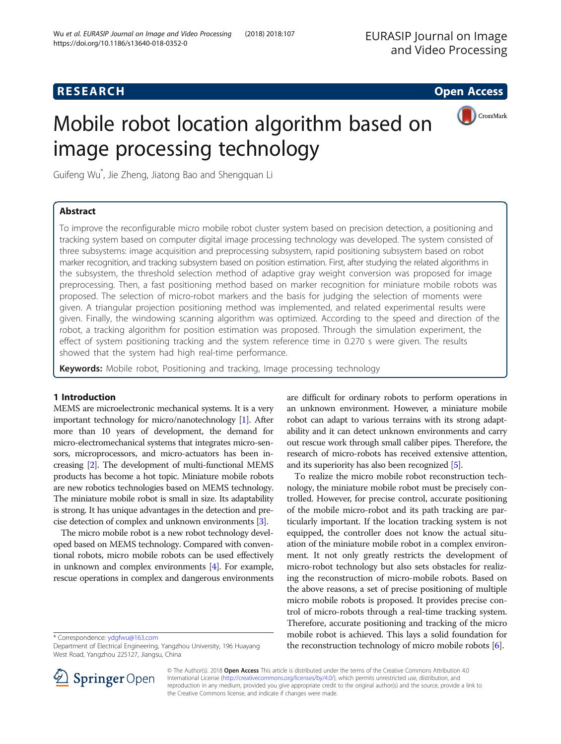# **RESEARCH CHILD CONTROL** CONTROL CONTROL CONTROL CONTROL CONTROL CONTROL CONTROL CONTROL CONTROL CONTROL CONTROL



# Mobile robot location algorithm based on image processing technology

Guifeng Wu\* , Jie Zheng, Jiatong Bao and Shengquan Li

# Abstract

To improve the reconfigurable micro mobile robot cluster system based on precision detection, a positioning and tracking system based on computer digital image processing technology was developed. The system consisted of three subsystems: image acquisition and preprocessing subsystem, rapid positioning subsystem based on robot marker recognition, and tracking subsystem based on position estimation. First, after studying the related algorithms in the subsystem, the threshold selection method of adaptive gray weight conversion was proposed for image preprocessing. Then, a fast positioning method based on marker recognition for miniature mobile robots was proposed. The selection of micro-robot markers and the basis for judging the selection of moments were given. A triangular projection positioning method was implemented, and related experimental results were given. Finally, the windowing scanning algorithm was optimized. According to the speed and direction of the robot, a tracking algorithm for position estimation was proposed. Through the simulation experiment, the effect of system positioning tracking and the system reference time in 0.270 s were given. The results showed that the system had high real-time performance.

Keywords: Mobile robot, Positioning and tracking, Image processing technology

# 1 Introduction

MEMS are microelectronic mechanical systems. It is a very important technology for micro/nanotechnology [[1](#page-7-0)]. After more than 10 years of development, the demand for micro-electromechanical systems that integrates micro-sensors, microprocessors, and micro-actuators has been increasing [[2](#page-7-0)]. The development of multi-functional MEMS products has become a hot topic. Miniature mobile robots are new robotics technologies based on MEMS technology. The miniature mobile robot is small in size. Its adaptability is strong. It has unique advantages in the detection and precise detection of complex and unknown environments [\[3\]](#page-7-0).

The micro mobile robot is a new robot technology developed based on MEMS technology. Compared with conventional robots, micro mobile robots can be used effectively in unknown and complex environments [\[4\]](#page-7-0). For example, rescue operations in complex and dangerous environments

\* Correspondence: [ydgfwu@163.com](mailto:ydgfwu@163.com)

are difficult for ordinary robots to perform operations in an unknown environment. However, a miniature mobile robot can adapt to various terrains with its strong adaptability and it can detect unknown environments and carry out rescue work through small caliber pipes. Therefore, the research of micro-robots has received extensive attention, and its superiority has also been recognized [[5](#page-7-0)].

To realize the micro mobile robot reconstruction technology, the miniature mobile robot must be precisely controlled. However, for precise control, accurate positioning of the mobile micro-robot and its path tracking are particularly important. If the location tracking system is not equipped, the controller does not know the actual situation of the miniature mobile robot in a complex environment. It not only greatly restricts the development of micro-robot technology but also sets obstacles for realizing the reconstruction of micro-mobile robots. Based on the above reasons, a set of precise positioning of multiple micro mobile robots is proposed. It provides precise control of micro-robots through a real-time tracking system. Therefore, accurate positioning and tracking of the micro mobile robot is achieved. This lays a solid foundation for the reconstruction technology of micro mobile robots [\[6](#page-7-0)].



© The Author(s). 2018 Open Access This article is distributed under the terms of the Creative Commons Attribution 4.0 International License ([http://creativecommons.org/licenses/by/4.0/\)](http://creativecommons.org/licenses/by/4.0/), which permits unrestricted use, distribution, and reproduction in any medium, provided you give appropriate credit to the original author(s) and the source, provide a link to the Creative Commons license, and indicate if changes were made.

Department of Electrical Engineering, Yangzhou University, 196 Huayang West Road, Yangzhou 225127, Jiangsu, China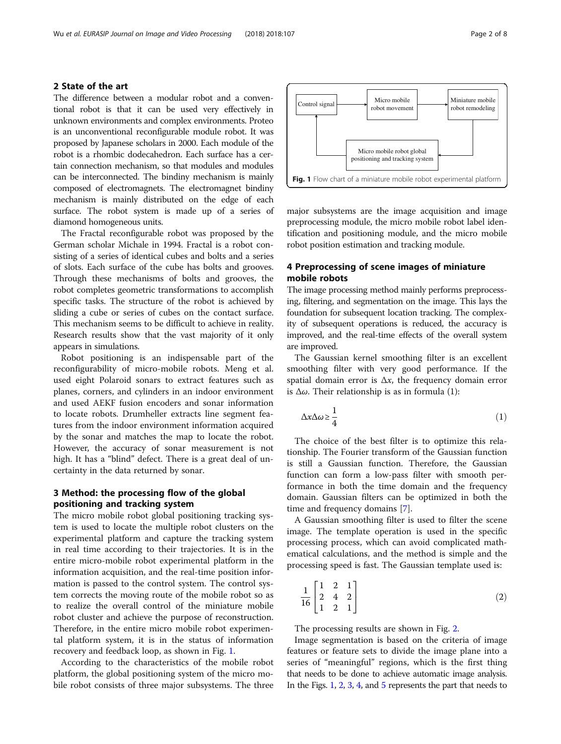#### 2 State of the art

The difference between a modular robot and a conventional robot is that it can be used very effectively in unknown environments and complex environments. Proteo is an unconventional reconfigurable module robot. It was proposed by Japanese scholars in 2000. Each module of the robot is a rhombic dodecahedron. Each surface has a certain connection mechanism, so that modules and modules can be interconnected. The bindiny mechanism is mainly composed of electromagnets. The electromagnet bindiny mechanism is mainly distributed on the edge of each surface. The robot system is made up of a series of diamond homogeneous units.

The Fractal reconfigurable robot was proposed by the German scholar Michale in 1994. Fractal is a robot consisting of a series of identical cubes and bolts and a series of slots. Each surface of the cube has bolts and grooves. Through these mechanisms of bolts and grooves, the robot completes geometric transformations to accomplish specific tasks. The structure of the robot is achieved by sliding a cube or series of cubes on the contact surface. This mechanism seems to be difficult to achieve in reality. Research results show that the vast majority of it only appears in simulations.

Robot positioning is an indispensable part of the reconfigurability of micro-mobile robots. Meng et al. used eight Polaroid sonars to extract features such as planes, corners, and cylinders in an indoor environment and used AEKF fusion encoders and sonar information to locate robots. Drumheller extracts line segment features from the indoor environment information acquired by the sonar and matches the map to locate the robot. However, the accuracy of sonar measurement is not high. It has a "blind" defect. There is a great deal of uncertainty in the data returned by sonar.

# 3 Method: the processing flow of the global positioning and tracking system

The micro mobile robot global positioning tracking system is used to locate the multiple robot clusters on the experimental platform and capture the tracking system in real time according to their trajectories. It is in the entire micro-mobile robot experimental platform in the information acquisition, and the real-time position information is passed to the control system. The control system corrects the moving route of the mobile robot so as to realize the overall control of the miniature mobile robot cluster and achieve the purpose of reconstruction. Therefore, in the entire micro mobile robot experimental platform system, it is in the status of information recovery and feedback loop, as shown in Fig. 1.

According to the characteristics of the mobile robot platform, the global positioning system of the micro mobile robot consists of three major subsystems. The three major subsystems are the image acquisition and image Micro mobile robot global positioning and tracking system Fig. 1 Flow chart of a miniature mobile robot experimental platform

robot movemen

 $Control signal$  Micro mobile

preprocessing module, the micro mobile robot label identification and positioning module, and the micro mobile robot position estimation and tracking module.

# 4 Preprocessing of scene images of miniature mobile robots

The image processing method mainly performs preprocessing, filtering, and segmentation on the image. This lays the foundation for subsequent location tracking. The complexity of subsequent operations is reduced, the accuracy is improved, and the real-time effects of the overall system are improved.

The Gaussian kernel smoothing filter is an excellent smoothing filter with very good performance. If the spatial domain error is  $\Delta x$ , the frequency domain error is  $Δω$ . Their relationship is as in formula (1):

$$
\Delta x \Delta \omega \ge \frac{1}{4} \tag{1}
$$

The choice of the best filter is to optimize this relationship. The Fourier transform of the Gaussian function is still a Gaussian function. Therefore, the Gaussian function can form a low-pass filter with smooth performance in both the time domain and the frequency domain. Gaussian filters can be optimized in both the time and frequency domains [[7\]](#page-7-0).

A Gaussian smoothing filter is used to filter the scene image. The template operation is used in the specific processing process, which can avoid complicated mathematical calculations, and the method is simple and the processing speed is fast. The Gaussian template used is:

$$
\frac{1}{16} \begin{bmatrix} 1 & 2 & 1 \\ 2 & 4 & 2 \\ 1 & 2 & 1 \end{bmatrix}
$$
 (2)

The processing results are shown in Fig. [2.](#page-2-0)

Image segmentation is based on the criteria of image features or feature sets to divide the image plane into a series of "meaningful" regions, which is the first thing that needs to be done to achieve automatic image analysis. In the Figs. 1, [2](#page-2-0), [3,](#page-3-0) [4](#page-3-0), and [5](#page-5-0) represents the part that needs to

Miniature mobile robot remodeling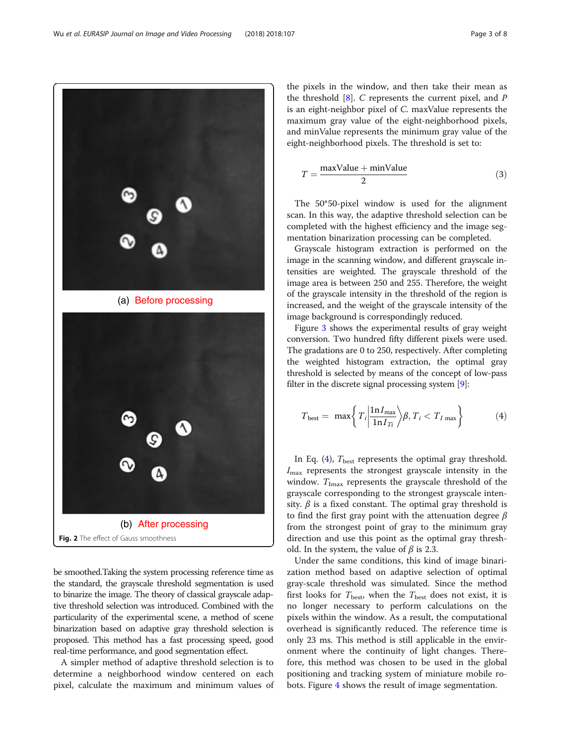be smoothed.Taking the system processing reference time as the standard, the grayscale threshold segmentation is used to binarize the image. The theory of classical grayscale adaptive threshold selection was introduced. Combined with the particularity of the experimental scene, a method of scene binarization based on adaptive gray threshold selection is proposed. This method has a fast processing speed, good real-time performance, and good segmentation effect.

A simpler method of adaptive threshold selection is to determine a neighborhood window centered on each pixel, calculate the maximum and minimum values of

the pixels in the window, and then take their mean as the threshold  $[8]$  $[8]$ . C represents the current pixel, and P is an eight-neighbor pixel of C. maxValue represents the maximum gray value of the eight-neighborhood pixels, and minValue represents the minimum gray value of the eight-neighborhood pixels. The threshold is set to:

$$
T = \frac{\text{maxValue} + \text{minValue}}{2}
$$
 (3)

The 50\*50-pixel window is used for the alignment scan. In this way, the adaptive threshold selection can be completed with the highest efficiency and the image segmentation binarization processing can be completed.

Grayscale histogram extraction is performed on the image in the scanning window, and different grayscale intensities are weighted. The grayscale threshold of the image area is between 250 and 255. Therefore, the weight of the grayscale intensity in the threshold of the region is increased, and the weight of the grayscale intensity of the image background is correspondingly reduced.

Figure [3](#page-3-0) shows the experimental results of gray weight conversion. Two hundred fifty different pixels were used. The gradations are 0 to 250, respectively. After completing the weighted histogram extraction, the optimal gray threshold is selected by means of the concept of low-pass filter in the discrete signal processing system [[9](#page-7-0)]:

$$
T_{\text{best}} = \max \left\{ T_i \left| \frac{\ln I_{\text{max}}}{\ln I_{Ti}} \right\rangle \beta, T_i < T_{I \text{ max}} \right\} \tag{4}
$$

In Eq. (4),  $T_{\text{best}}$  represents the optimal gray threshold.  $I_{\text{max}}$  represents the strongest grayscale intensity in the window.  $T_{\text{Imax}}$  represents the grayscale threshold of the grayscale corresponding to the strongest grayscale intensity.  $\beta$  is a fixed constant. The optimal gray threshold is to find the first gray point with the attenuation degree  $\beta$ from the strongest point of gray to the minimum gray direction and use this point as the optimal gray threshold. In the system, the value of  $\beta$  is 2.3.

Under the same conditions, this kind of image binarization method based on adaptive selection of optimal gray-scale threshold was simulated. Since the method first looks for  $T_{\text{best}}$ , when the  $T_{\text{best}}$  does not exist, it is no longer necessary to perform calculations on the pixels within the window. As a result, the computational overhead is significantly reduced. The reference time is only 23 ms. This method is still applicable in the environment where the continuity of light changes. Therefore, this method was chosen to be used in the global positioning and tracking system of miniature mobile robots. Figure [4](#page-3-0) shows the result of image segmentation.

<span id="page-2-0"></span>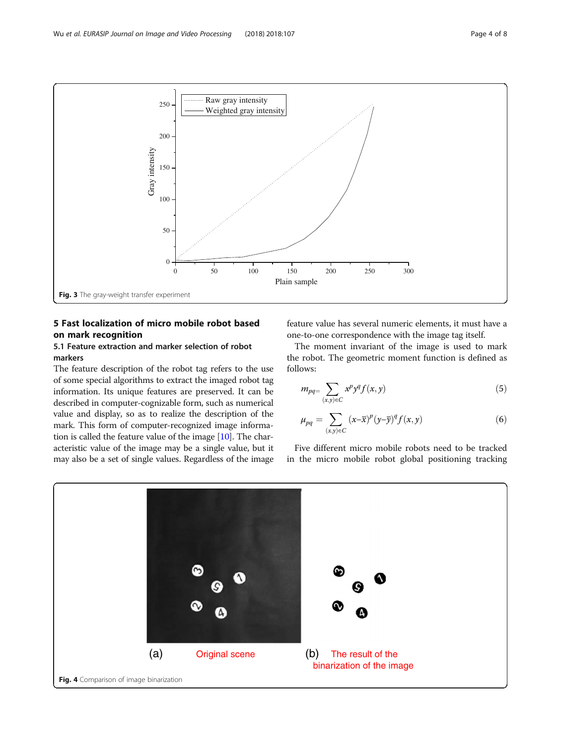<span id="page-3-0"></span>

# 5 Fast localization of micro mobile robot based on mark recognition

# 5.1 Feature extraction and marker selection of robot markers

The feature description of the robot tag refers to the use of some special algorithms to extract the imaged robot tag information. Its unique features are preserved. It can be described in computer-cognizable form, such as numerical value and display, so as to realize the description of the mark. This form of computer-recognized image information is called the feature value of the image [[10](#page-7-0)]. The characteristic value of the image may be a single value, but it may also be a set of single values. Regardless of the image feature value has several numeric elements, it must have a one-to-one correspondence with the image tag itself.

The moment invariant of the image is used to mark the robot. The geometric moment function is defined as follows:

$$
m_{pq} = \sum_{(x,y)\in C} x^p y^q f(x,y) \tag{5}
$$

$$
\mu_{pq} = \sum_{(x,y)\in C} (x-\overline{x})^p (y-\overline{y})^q f(x,y) \tag{6}
$$

Five different micro mobile robots need to be tracked in the micro mobile robot global positioning tracking

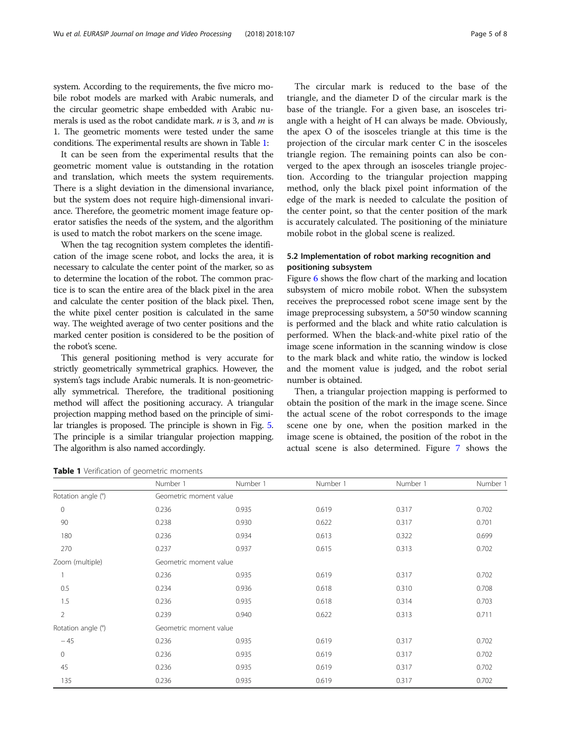system. According to the requirements, the five micro mobile robot models are marked with Arabic numerals, and the circular geometric shape embedded with Arabic numerals is used as the robot candidate mark.  $n$  is 3, and  $m$  is 1. The geometric moments were tested under the same conditions. The experimental results are shown in Table 1:

It can be seen from the experimental results that the geometric moment value is outstanding in the rotation and translation, which meets the system requirements. There is a slight deviation in the dimensional invariance, but the system does not require high-dimensional invariance. Therefore, the geometric moment image feature operator satisfies the needs of the system, and the algorithm is used to match the robot markers on the scene image.

When the tag recognition system completes the identification of the image scene robot, and locks the area, it is necessary to calculate the center point of the marker, so as to determine the location of the robot. The common practice is to scan the entire area of the black pixel in the area and calculate the center position of the black pixel. Then, the white pixel center position is calculated in the same way. The weighted average of two center positions and the marked center position is considered to be the position of the robot's scene.

This general positioning method is very accurate for strictly geometrically symmetrical graphics. However, the system's tags include Arabic numerals. It is non-geometrically symmetrical. Therefore, the traditional positioning method will affect the positioning accuracy. A triangular projection mapping method based on the principle of similar triangles is proposed. The principle is shown in Fig. [5](#page-5-0). The principle is a similar triangular projection mapping. The algorithm is also named accordingly.

Table 1 Verification of geometric moments

The circular mark is reduced to the base of the triangle, and the diameter D of the circular mark is the base of the triangle. For a given base, an isosceles triangle with a height of H can always be made. Obviously, the apex O of the isosceles triangle at this time is the projection of the circular mark center C in the isosceles triangle region. The remaining points can also be converged to the apex through an isosceles triangle projection. According to the triangular projection mapping method, only the black pixel point information of the edge of the mark is needed to calculate the position of the center point, so that the center position of the mark is accurately calculated. The positioning of the miniature mobile robot in the global scene is realized.

## 5.2 Implementation of robot marking recognition and positioning subsystem

Figure [6](#page-5-0) shows the flow chart of the marking and location subsystem of micro mobile robot. When the subsystem receives the preprocessed robot scene image sent by the image preprocessing subsystem, a 50\*50 window scanning is performed and the black and white ratio calculation is performed. When the black-and-white pixel ratio of the image scene information in the scanning window is close to the mark black and white ratio, the window is locked and the moment value is judged, and the robot serial number is obtained.

Then, a triangular projection mapping is performed to obtain the position of the mark in the image scene. Since the actual scene of the robot corresponds to the image scene one by one, when the position marked in the image scene is obtained, the position of the robot in the actual scene is also determined. Figure [7](#page-5-0) shows the

|                    | Number 1               | Number 1               | Number 1 | Number 1 | Number 1 |  |  |  |
|--------------------|------------------------|------------------------|----------|----------|----------|--|--|--|
| Rotation angle (°) | Geometric moment value |                        |          |          |          |  |  |  |
| $\mathbf 0$        | 0.236                  | 0.935                  | 0.619    | 0.317    | 0.702    |  |  |  |
| 90                 | 0.238                  | 0.930                  | 0.622    | 0.317    | 0.701    |  |  |  |
| 180                | 0.236                  | 0.934                  | 0.613    | 0.322    | 0.699    |  |  |  |
| 270                | 0.237                  | 0.937                  | 0.615    | 0.313    | 0.702    |  |  |  |
| Zoom (multiple)    |                        | Geometric moment value |          |          |          |  |  |  |
|                    | 0.236                  | 0.935                  | 0.619    | 0.317    | 0.702    |  |  |  |
| 0.5                | 0.234                  | 0.936                  | 0.618    | 0.310    | 0.708    |  |  |  |
| 1.5                | 0.236                  | 0.935                  | 0.618    | 0.314    | 0.703    |  |  |  |
| 2                  | 0.239                  | 0.940                  | 0.622    | 0.313    | 0.711    |  |  |  |
| Rotation angle (°) |                        | Geometric moment value |          |          |          |  |  |  |
| $-45$              | 0.236                  | 0.935                  | 0.619    | 0.317    | 0.702    |  |  |  |
| $\mathbf{0}$       | 0.236                  | 0.935                  | 0.619    | 0.317    | 0.702    |  |  |  |
| 45                 | 0.236                  | 0.935                  | 0.619    | 0.317    | 0.702    |  |  |  |
| 135                | 0.236                  | 0.935                  | 0.619    | 0.317    | 0.702    |  |  |  |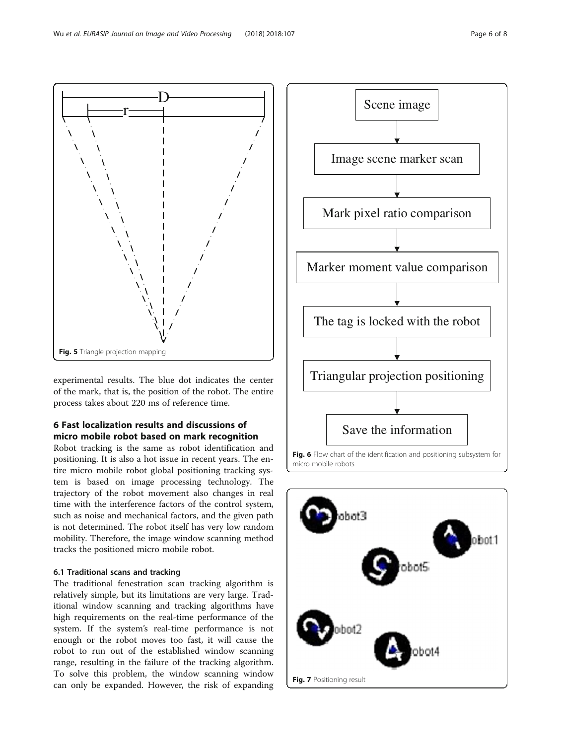<span id="page-5-0"></span>

experimental results. The blue dot indicates the center of the mark, that is, the position of the robot. The entire process takes about 220 ms of reference time.

# 6 Fast localization results and discussions of micro mobile robot based on mark recognition

Robot tracking is the same as robot identification and positioning. It is also a hot issue in recent years. The entire micro mobile robot global positioning tracking system is based on image processing technology. The trajectory of the robot movement also changes in real time with the interference factors of the control system, such as noise and mechanical factors, and the given path is not determined. The robot itself has very low random mobility. Therefore, the image window scanning method tracks the positioned micro mobile robot.

#### 6.1 Traditional scans and tracking

The traditional fenestration scan tracking algorithm is relatively simple, but its limitations are very large. Traditional window scanning and tracking algorithms have high requirements on the real-time performance of the system. If the system's real-time performance is not enough or the robot moves too fast, it will cause the robot to run out of the established window scanning range, resulting in the failure of the tracking algorithm. To solve this problem, the window scanning window can only be expanded. However, the risk of expanding



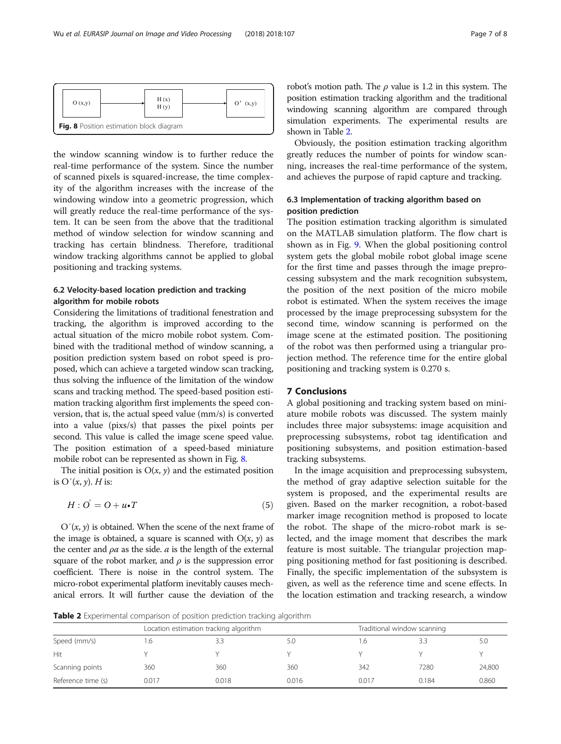| O(x,y) |                                          | H(x)<br>H(y) | (x,y) |
|--------|------------------------------------------|--------------|-------|
|        | Fig. 8 Position estimation block diagram |              |       |

the window scanning window is to further reduce the real-time performance of the system. Since the number of scanned pixels is squared-increase, the time complexity of the algorithm increases with the increase of the windowing window into a geometric progression, which will greatly reduce the real-time performance of the system. It can be seen from the above that the traditional method of window selection for window scanning and tracking has certain blindness. Therefore, traditional window tracking algorithms cannot be applied to global positioning and tracking systems.

# 6.2 Velocity-based location prediction and tracking algorithm for mobile robots

Considering the limitations of traditional fenestration and tracking, the algorithm is improved according to the actual situation of the micro mobile robot system. Combined with the traditional method of window scanning, a position prediction system based on robot speed is proposed, which can achieve a targeted window scan tracking, thus solving the influence of the limitation of the window scans and tracking method. The speed-based position estimation tracking algorithm first implements the speed conversion, that is, the actual speed value (mm/s) is converted into a value (pixs/s) that passes the pixel points per second. This value is called the image scene speed value. The position estimation of a speed-based miniature mobile robot can be represented as shown in Fig. 8.

The initial position is  $O(x, y)$  and the estimated position is  $O'(x, y)$ . *H* is:

$$
H: O' = O + u \cdot T \tag{5}
$$

 $O'(x, y)$  is obtained. When the scene of the next frame of the image is obtained, a square is scanned with  $O(x, y)$  as the center and  $\rho a$  as the side.  $a$  is the length of the external square of the robot marker, and  $\rho$  is the suppression error coefficient. There is noise in the control system. The micro-robot experimental platform inevitably causes mechanical errors. It will further cause the deviation of the robot's motion path. The  $\rho$  value is 1.2 in this system. The position estimation tracking algorithm and the traditional windowing scanning algorithm are compared through simulation experiments. The experimental results are shown in Table 2.

Obviously, the position estimation tracking algorithm greatly reduces the number of points for window scanning, increases the real-time performance of the system, and achieves the purpose of rapid capture and tracking.

# 6.3 Implementation of tracking algorithm based on position prediction

The position estimation tracking algorithm is simulated on the MATLAB simulation platform. The flow chart is shown as in Fig. [9](#page-7-0). When the global positioning control system gets the global mobile robot global image scene for the first time and passes through the image preprocessing subsystem and the mark recognition subsystem, the position of the next position of the micro mobile robot is estimated. When the system receives the image processed by the image preprocessing subsystem for the second time, window scanning is performed on the image scene at the estimated position. The positioning of the robot was then performed using a triangular projection method. The reference time for the entire global positioning and tracking system is 0.270 s.

#### 7 Conclusions

A global positioning and tracking system based on miniature mobile robots was discussed. The system mainly includes three major subsystems: image acquisition and preprocessing subsystems, robot tag identification and positioning subsystems, and position estimation-based tracking subsystems.

In the image acquisition and preprocessing subsystem, the method of gray adaptive selection suitable for the system is proposed, and the experimental results are given. Based on the marker recognition, a robot-based marker image recognition method is proposed to locate the robot. The shape of the micro-robot mark is selected, and the image moment that describes the mark feature is most suitable. The triangular projection mapping positioning method for fast positioning is described. Finally, the specific implementation of the subsystem is given, as well as the reference time and scene effects. In the location estimation and tracking research, a window

Table 2 Experimental comparison of position prediction tracking algorithm

|                    | Location estimation tracking algorithm |       |       | Traditional window scanning |       |        |
|--------------------|----------------------------------------|-------|-------|-----------------------------|-------|--------|
| Speed (mm/s)       | .b                                     |       |       | $\circ$                     |       | 5.C    |
| Hit                |                                        |       |       |                             |       |        |
| Scanning points    | 360                                    | 360   | 360   | 342                         | 7280  | 24,800 |
| Reference time (s) | 0.017                                  | 0.018 | 0.016 | 0.017                       | 0.184 | 0.860  |